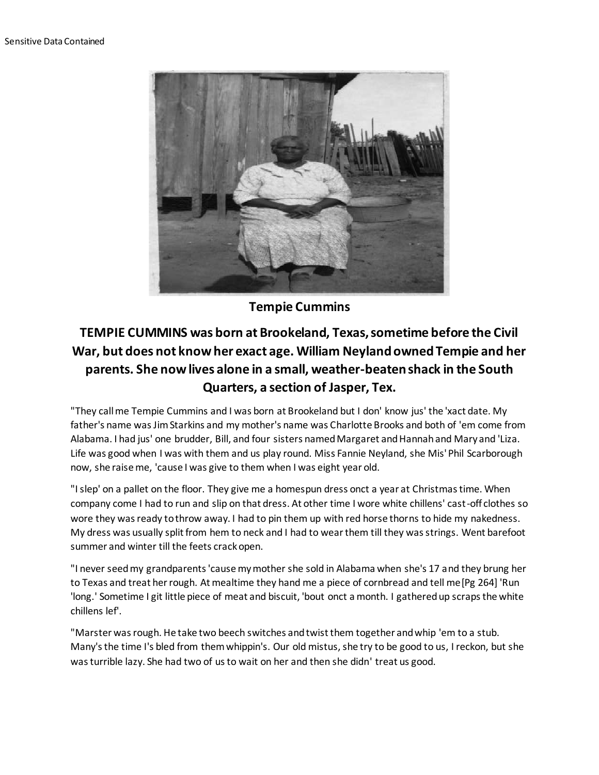

**Tempie Cummins**

## **TEMPIE CUMMINS was born at Brookeland, Texas, sometime before the Civil War, but does not know her exact age. William Neyland owned Tempie and her parents. She now lives alone in a small, weather-beaten shack in the South Quarters, a section of Jasper, Tex.**

"They call me Tempie Cummins and I was born at Brookeland but I don' know jus' the 'xact date. My father's name was Jim Starkins and my mother's name was Charlotte Brooks and both of 'em come from Alabama. I had jus' one brudder, Bill, and four sisters named Margaret and Hannah and Mary and 'Liza. Life was good when I was with them and us play round. Miss Fannie Neyland, she Mis' Phil Scarborough now, she raise me, 'cause I was give to them when I was eight year old.

"I slep' on a pallet on the floor. They give me a homespun dress onct a year at Christmas time. When company come I had to run and slip on that dress. At other time I wore white chillens' cast-off clothes so wore they was ready to throw away. I had to pin them up with red horse thorns to hide my nakedness. My dress was usually split from hem to neck and I had to wear them till they was strings. Went barefoot summer and winter till the feets crack open.

"I never seed my grandparents 'cause my mother she sold in Alabama when she's 17 and they brung her to Texas and treat her rough. At mealtime they hand me a piece of cornbread and tell me[Pg 264] 'Run 'long.' Sometime I git little piece of meat and biscuit, 'bout onct a month. I gathered up scraps the white chillens lef'.

"Marster was rough. He take two beech switches and twist them together and whip 'em to a stub. Many's the time I's bled from them whippin's. Our old mistus, she try to be good to us, I reckon, but she was turrible lazy. She had two of us to wait on her and then she didn' treat us good.